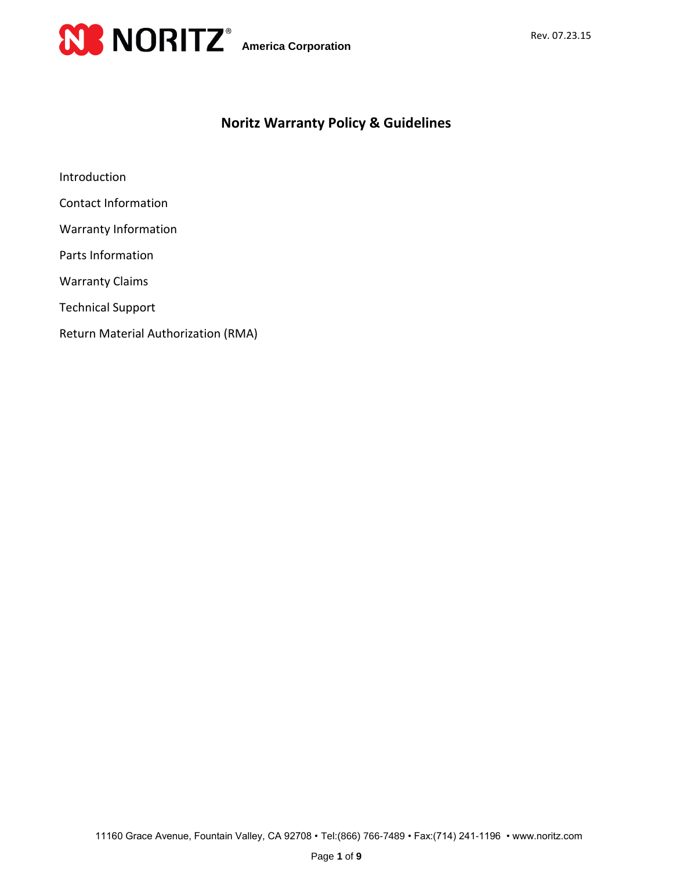

# **Noritz Warranty Policy & Guidelines**

Introduction

- Contact Information
- Warranty Information
- Parts Information
- Warranty Claims
- Technical Support
- Return Material Authorization (RMA)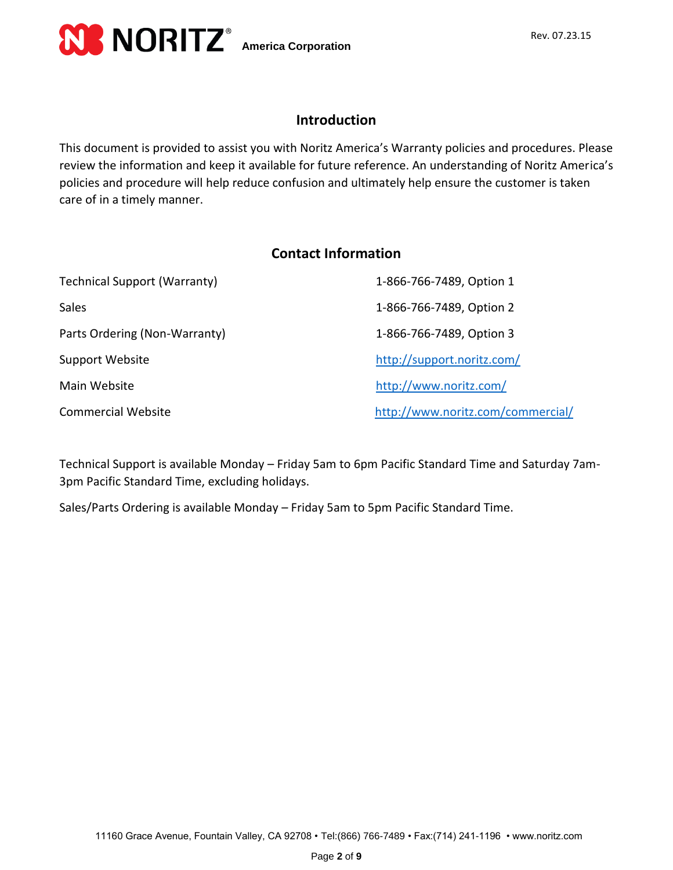

### **Introduction**

This document is provided to assist you with Noritz America's Warranty policies and procedures. Please review the information and keep it available for future reference. An understanding of Noritz America's policies and procedure will help reduce confusion and ultimately help ensure the customer is taken care of in a timely manner.

### **Contact Information**

| <b>Technical Support (Warranty)</b> | 1-866-766-7489, Option 1          |
|-------------------------------------|-----------------------------------|
| <b>Sales</b>                        | 1-866-766-7489, Option 2          |
| Parts Ordering (Non-Warranty)       | 1-866-766-7489, Option 3          |
| Support Website                     | http://support.noritz.com/        |
| Main Website                        | http://www.noritz.com/            |
| <b>Commercial Website</b>           | http://www.noritz.com/commercial/ |

Technical Support is available Monday – Friday 5am to 6pm Pacific Standard Time and Saturday 7am-3pm Pacific Standard Time, excluding holidays.

Sales/Parts Ordering is available Monday – Friday 5am to 5pm Pacific Standard Time.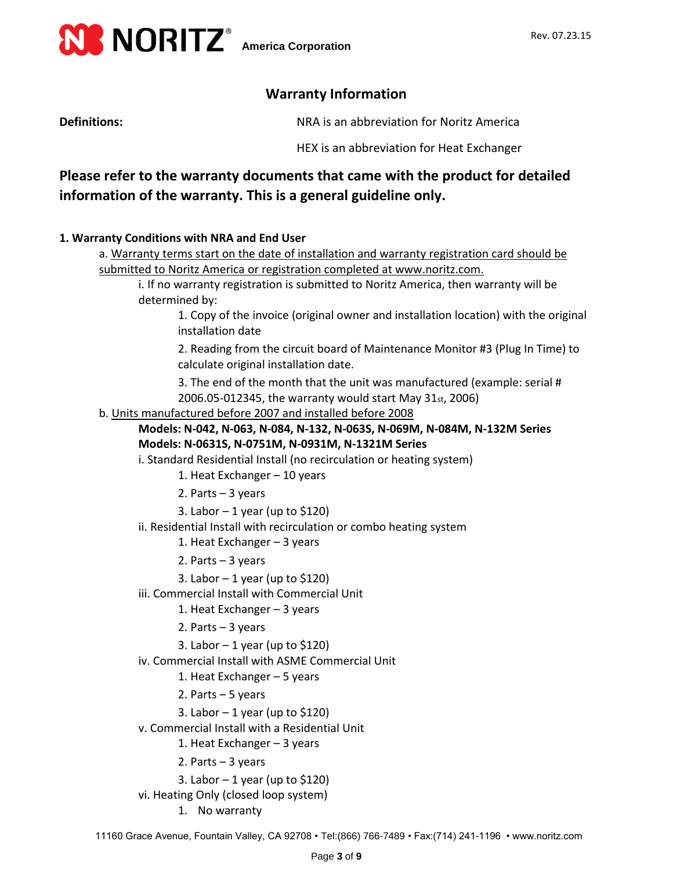

### **Warranty Information**

**Definitions:** NRA is an abbreviation for Noritz America

HEX is an abbreviation for Heat Exchanger

# **Please refer to the warranty documents that came with the product for detailed information of the warranty. This is a general guideline only.**

#### **1. Warranty Conditions with NRA and End User**

a. Warranty terms start on the date of installation and warranty registration card should be submitted to Noritz America or registration completed at www.noritz.com.

i. If no warranty registration is submitted to Noritz America, then warranty will be determined by:

1. Copy of the invoice (original owner and installation location) with the original installation date

2. Reading from the circuit board of Maintenance Monitor #3 (Plug In Time) to calculate original installation date.

3. The end of the month that the unit was manufactured (example: serial # 2006.05-012345, the warranty would start May 31st, 2006)

b. Units manufactured before 2007 and installed before 2008

#### **Models: N-042, N-063, N-084, N-132, N-063S, N-069M, N-084M, N-132M Series Models: N-0631S, N-0751M, N-0931M, N-1321M Series**

- i. Standard Residential Install (no recirculation or heating system)
	- 1. Heat Exchanger 10 years
	- 2. Parts 3 years
	- 3. Labor  $-1$  year (up to \$120)
- ii. Residential Install with recirculation or combo heating system
	- 1. Heat Exchanger 3 years
	- 2. Parts 3 years
	- 3. Labor 1 year (up to \$120)
- iii. Commercial Install with Commercial Unit
	- 1. Heat Exchanger 3 years
	- 2. Parts 3 years
	- 3. Labor  $-1$  year (up to \$120)
- iv. Commercial Install with ASME Commercial Unit
	- 1. Heat Exchanger 5 years
	- 2. Parts 5 years
	- 3. Labor  $-1$  year (up to \$120)
- v. Commercial Install with a Residential Unit
	- 1. Heat Exchanger 3 years
	- 2. Parts 3 years
	- 3. Labor  $-1$  year (up to \$120)
- vi. Heating Only (closed loop system)
	- 1. No warranty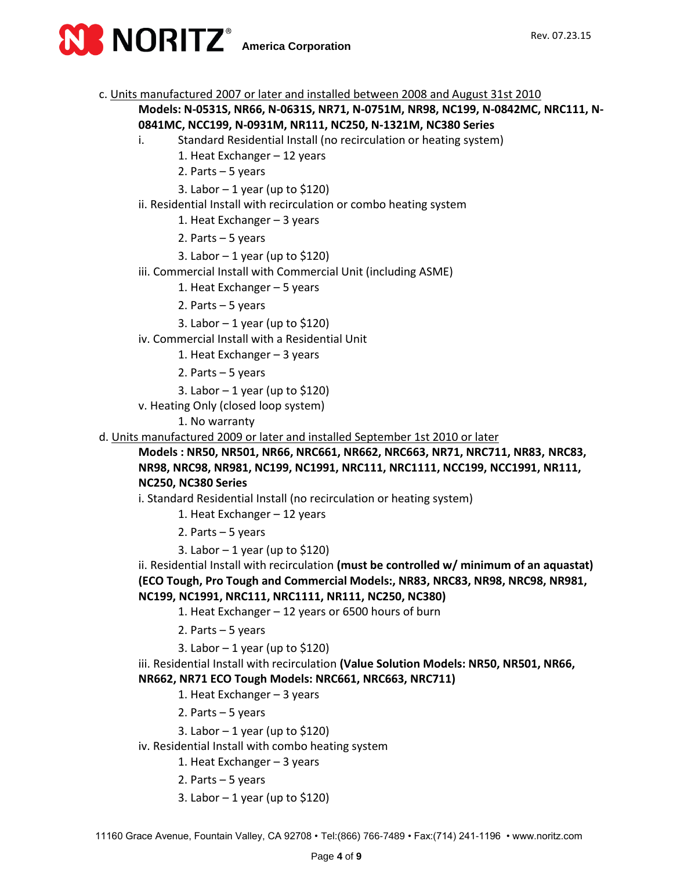

c. Units manufactured 2007 or later and installed between 2008 and August 31st 2010

### **Models: N-0531S, NR66, N-0631S, NR71, N-0751M, NR98, NC199, N-0842MC, NRC111, N-0841MC, NCC199, N-0931M, NR111, NC250, N-1321M, NC380 Series**

i. Standard Residential Install (no recirculation or heating system)

- 1. Heat Exchanger 12 years
- 2. Parts 5 years
- 3. Labor  $-1$  year (up to \$120)
- ii. Residential Install with recirculation or combo heating system
	- 1. Heat Exchanger 3 years
	- 2. Parts 5 years
	- 3. Labor  $-1$  year (up to \$120)
- iii. Commercial Install with Commercial Unit (including ASME)
	- 1. Heat Exchanger 5 years
	- 2. Parts 5 years
	- 3. Labor  $-1$  year (up to \$120)
- iv. Commercial Install with a Residential Unit
	- 1. Heat Exchanger 3 years
	- 2. Parts 5 years
	- 3. Labor 1 year (up to \$120)
- v. Heating Only (closed loop system)
	- 1. No warranty
- d. Units manufactured 2009 or later and installed September 1st 2010 or later

**Models : NR50, NR501, NR66, NRC661, NR662, NRC663, NR71, NRC711, NR83, NRC83, NR98, NRC98, NR981, NC199, NC1991, NRC111, NRC1111, NCC199, NCC1991, NR111, NC250, NC380 Series** 

i. Standard Residential Install (no recirculation or heating system)

- 1. Heat Exchanger 12 years
- 2. Parts 5 years
- 3. Labor  $-1$  year (up to \$120)

ii. Residential Install with recirculation **(must be controlled w/ minimum of an aquastat) (ECO Tough, Pro Tough and Commercial Models:, NR83, NRC83, NR98, NRC98, NR981, NC199, NC1991, NRC111, NRC1111, NR111, NC250, NC380)**

- 1. Heat Exchanger 12 years or 6500 hours of burn
- 2. Parts 5 years
- 3. Labor  $-1$  year (up to \$120)

iii. Residential Install with recirculation **(Value Solution Models: NR50, NR501, NR66, NR662, NR71 ECO Tough Models: NRC661, NRC663, NRC711)**

- 1. Heat Exchanger 3 years
- 2. Parts 5 years
- 3. Labor  $-1$  year (up to \$120)
- iv. Residential Install with combo heating system
	- 1. Heat Exchanger 3 years
	- 2. Parts 5 years
	- 3. Labor  $-1$  year (up to \$120)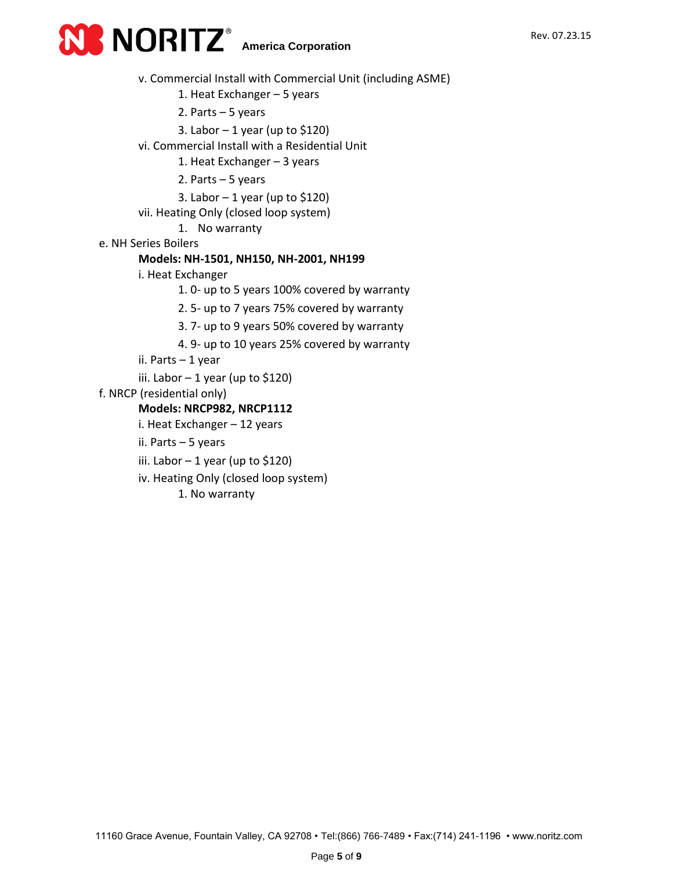

v. Commercial Install with Commercial Unit (including ASME)

1. Heat Exchanger – 5 years

- 2. Parts 5 years
- 3. Labor  $-1$  year (up to \$120)

vi. Commercial Install with a Residential Unit

1. Heat Exchanger – 3 years

2. Parts – 5 years

3. Labor  $-1$  year (up to \$120)

vii. Heating Only (closed loop system)

1. No warranty

e. NH Series Boilers

#### **Models: NH-1501, NH150, NH-2001, NH199**

i. Heat Exchanger

1. 0- up to 5 years 100% covered by warranty

2. 5- up to 7 years 75% covered by warranty

3. 7- up to 9 years 50% covered by warranty

- 4. 9- up to 10 years 25% covered by warranty
- ii. Parts 1 year
- iii. Labor 1 year (up to \$120)

f. NRCP (residential only)

#### **Models: NRCP982, NRCP1112**

- i. Heat Exchanger 12 years
- ii. Parts 5 years
- iii. Labor  $-1$  year (up to \$120)
- iv. Heating Only (closed loop system)

1. No warranty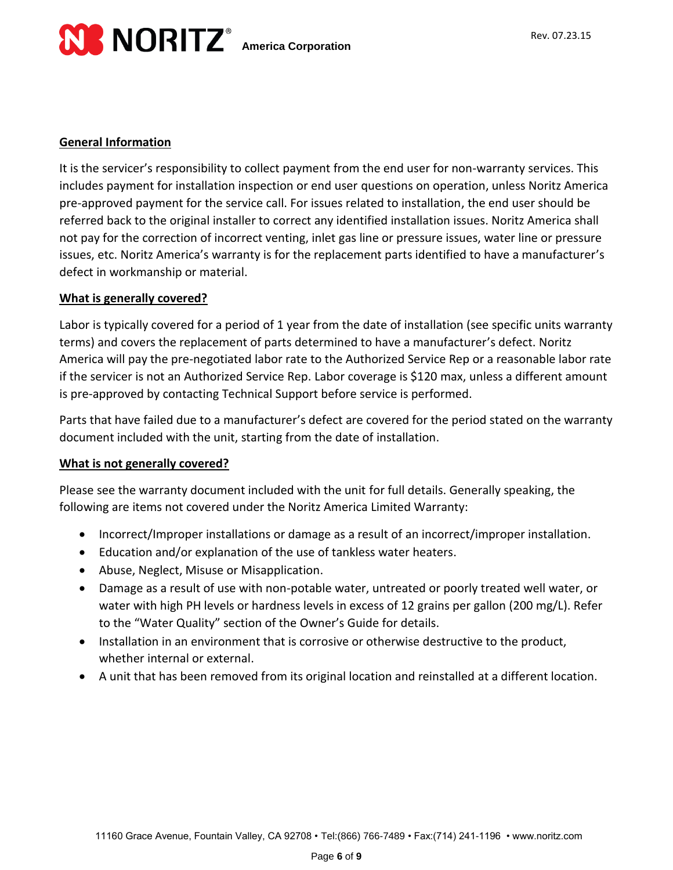

#### **General Information**

It is the servicer's responsibility to collect payment from the end user for non-warranty services. This includes payment for installation inspection or end user questions on operation, unless Noritz America pre-approved payment for the service call. For issues related to installation, the end user should be referred back to the original installer to correct any identified installation issues. Noritz America shall not pay for the correction of incorrect venting, inlet gas line or pressure issues, water line or pressure issues, etc. Noritz America's warranty is for the replacement parts identified to have a manufacturer's defect in workmanship or material.

#### **What is generally covered?**

Labor is typically covered for a period of 1 year from the date of installation (see specific units warranty terms) and covers the replacement of parts determined to have a manufacturer's defect. Noritz America will pay the pre-negotiated labor rate to the Authorized Service Rep or a reasonable labor rate if the servicer is not an Authorized Service Rep. Labor coverage is \$120 max, unless a different amount is pre-approved by contacting Technical Support before service is performed.

Parts that have failed due to a manufacturer's defect are covered for the period stated on the warranty document included with the unit, starting from the date of installation.

#### **What is not generally covered?**

Please see the warranty document included with the unit for full details. Generally speaking, the following are items not covered under the Noritz America Limited Warranty:

- Incorrect/Improper installations or damage as a result of an incorrect/improper installation.
- Education and/or explanation of the use of tankless water heaters.
- Abuse, Neglect, Misuse or Misapplication.
- Damage as a result of use with non-potable water, untreated or poorly treated well water, or water with high PH levels or hardness levels in excess of 12 grains per gallon (200 mg/L). Refer to the "Water Quality" section of the Owner's Guide for details.
- Installation in an environment that is corrosive or otherwise destructive to the product, whether internal or external.
- A unit that has been removed from its original location and reinstalled at a different location.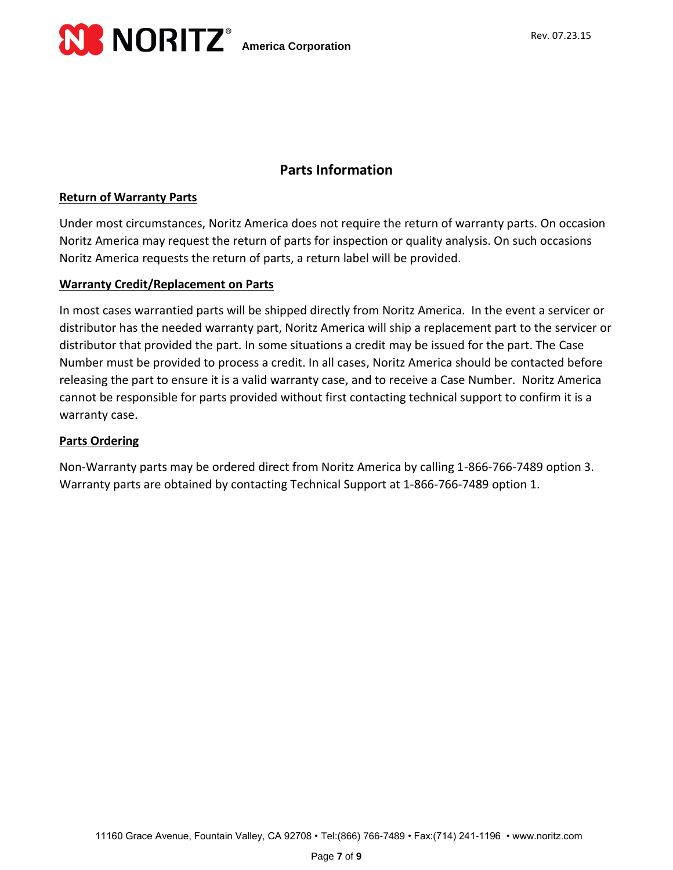

## **Parts Information**

#### **Return of Warranty Parts**

Under most circumstances, Noritz America does not require the return of warranty parts. On occasion Noritz America may request the return of parts for inspection or quality analysis. On such occasions Noritz America requests the return of parts, a return label will be provided.

### **Warranty Credit/Replacement on Parts**

In most cases warrantied parts will be shipped directly from Noritz America. In the event a servicer or distributor has the needed warranty part, Noritz America will ship a replacement part to the servicer or distributor that provided the part. In some situations a credit may be issued for the part. The Case Number must be provided to process a credit. In all cases, Noritz America should be contacted before releasing the part to ensure it is a valid warranty case, and to receive a Case Number. Noritz America cannot be responsible for parts provided without first contacting technical support to confirm it is a warranty case.

#### **Parts Ordering**

Non-Warranty parts may be ordered direct from Noritz America by calling 1-866-766-7489 option 3. Warranty parts are obtained by contacting Technical Support at 1-866-766-7489 option 1.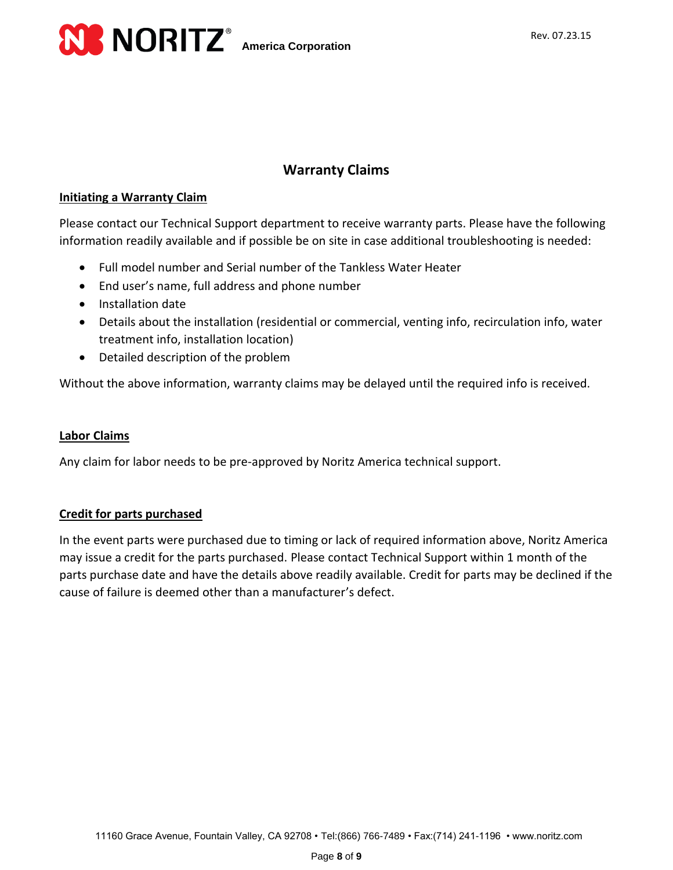



### **Warranty Claims**

#### **Initiating a Warranty Claim**

Please contact our Technical Support department to receive warranty parts. Please have the following information readily available and if possible be on site in case additional troubleshooting is needed:

- Full model number and Serial number of the Tankless Water Heater
- End user's name, full address and phone number
- Installation date
- Details about the installation (residential or commercial, venting info, recirculation info, water treatment info, installation location)
- Detailed description of the problem

Without the above information, warranty claims may be delayed until the required info is received.

#### **Labor Claims**

Any claim for labor needs to be pre-approved by Noritz America technical support.

#### **Credit for parts purchased**

In the event parts were purchased due to timing or lack of required information above, Noritz America may issue a credit for the parts purchased. Please contact Technical Support within 1 month of the parts purchase date and have the details above readily available. Credit for parts may be declined if the cause of failure is deemed other than a manufacturer's defect.